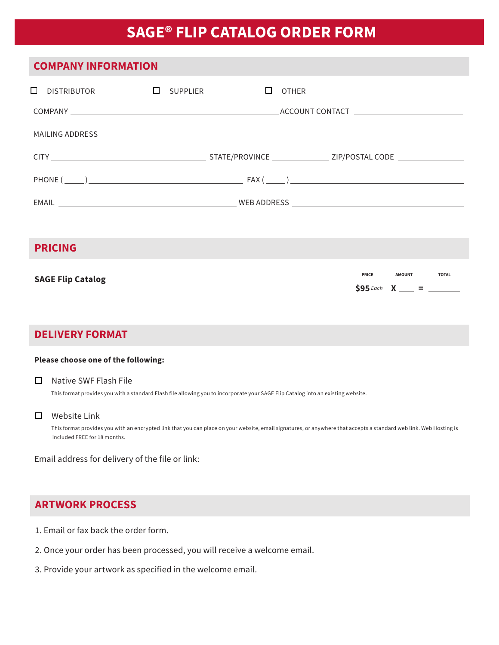# **SAGE® FLIP CATALOG ORDER FORM**

| <b>COMPANY INFORMATION</b>         |        |                                                                            |
|------------------------------------|--------|----------------------------------------------------------------------------|
| $\Box$ distributor $\Box$ supplier | $\Box$ | OTHER                                                                      |
|                                    |        |                                                                            |
|                                    |        |                                                                            |
|                                    |        |                                                                            |
|                                    |        |                                                                            |
|                                    |        |                                                                            |
|                                    |        |                                                                            |
| <b>PRICING</b>                     |        |                                                                            |
| <b>SAGE Flip Catalog</b>           |        | <b>PRICE</b><br><b>AMOUNT</b><br><b>TOTAL</b><br>$$95$ Each $X$ = $\qquad$ |

## **DELIVERY FORMAT**

#### **Please choose one of the following:**

### $\Box$  Native SWF Flash File

This format provides you with a standard Flash file allowing you to incorporate your SAGE Flip Catalog into an existing website.

## $\square$  Website Link

 This format provides you with an encrypted link that you can place on your website, email signatures, or anywhere that accepts a standard web link. Web Hosting is included FREE for 18 months.

Email address for delivery of the file or link:

## **ARTWORK PROCESS**

- 1. Email or fax back the order form.
- 2. Once your order has been processed, you will receive a welcome email.
- 3. Provide your artwork as specified in the welcome email.